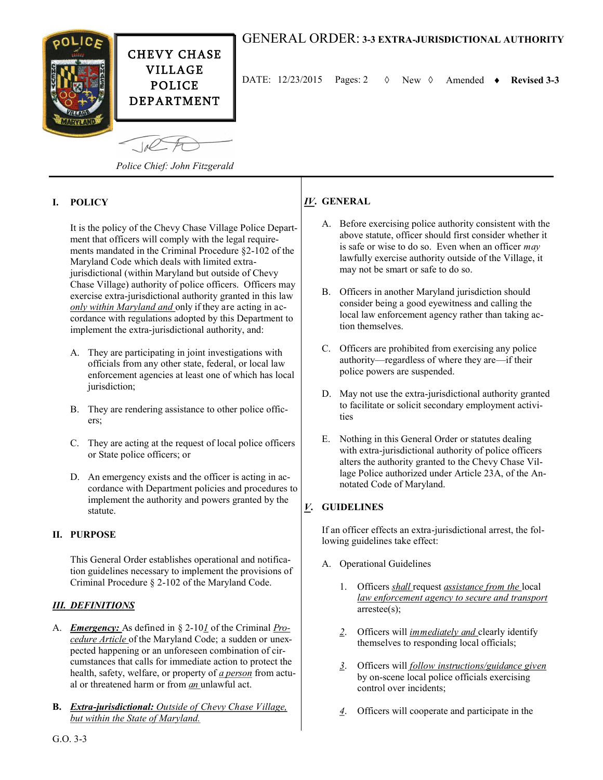

# GENERAL ORDER: **3-3 EXTRA-JURISDICTIONAL AUTHORITY**

DATE: 12/23/2015 Pages: 2 New Amended **Revised 3-3**

*Police Chief: John Fitzgerald*

### **I. POLICY**

It is the policy of the Chevy Chase Village Police Department that officers will comply with the legal requirements mandated in the Criminal Procedure §2-102 of the Maryland Code which deals with limited extrajurisdictional (within Maryland but outside of Chevy Chase Village) authority of police officers. Officers may exercise extra-jurisdictional authority granted in this law *only within Maryland and* only if they are acting in accordance with regulations adopted by this Department to implement the extra-jurisdictional authority, and:

- A. They are participating in joint investigations with officials from any other state, federal, or local law enforcement agencies at least one of which has local jurisdiction;
- B. They are rendering assistance to other police officers;
- C. They are acting at the request of local police officers or State police officers; or
- D. An emergency exists and the officer is acting in accordance with Department policies and procedures to implement the authority and powers granted by the statute.

### **II. PURPOSE**

This General Order establishes operational and notification guidelines necessary to implement the provisions of Criminal Procedure § 2-102 of the Maryland Code.

#### *III. DEFINITIONS*

- A. *Emergency:* As defined in § 2-10*1* of the Criminal *Procedure Article* of the Maryland Code; a sudden or unexpected happening or an unforeseen combination of circumstances that calls for immediate action to protect the health, safety, welfare, or property of *a person* from actual or threatened harm or from *an* unlawful act.
- **B.** *Extra-jurisdictional: Outside of Chevy Chase Village, but within the State of Maryland.*

### *IV***. GENERAL**

- A. Before exercising police authority consistent with the above statute, officer should first consider whether it is safe or wise to do so. Even when an officer *may*  lawfully exercise authority outside of the Village, it may not be smart or safe to do so.
- B. Officers in another Maryland jurisdiction should consider being a good eyewitness and calling the local law enforcement agency rather than taking action themselves.
- C. Officers are prohibited from exercising any police authority—regardless of where they are—if their police powers are suspended.
- D. May not use the extra-jurisdictional authority granted to facilitate or solicit secondary employment activities
- E. Nothing in this General Order or statutes dealing with extra-jurisdictional authority of police officers alters the authority granted to the Chevy Chase Village Police authorized under Article 23A, of the Annotated Code of Maryland.

### *V***. GUIDELINES**

If an officer effects an extra-jurisdictional arrest, the following guidelines take effect:

- A. Operational Guidelines
	- 1. Officers *shall* request *assistance from the* local *law enforcement agency to secure and transport*  arrestee(s);
	- *2*. Officers will *immediately and* clearly identify themselves to responding local officials;
	- *3*. Officers will *follow instructions/guidance given*  by on-scene local police officials exercising control over incidents;
	- *4*. Officers will cooperate and participate in the